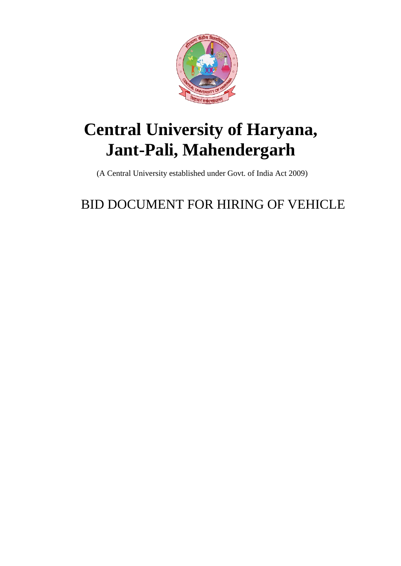

# **Central University of Haryana, Jant-Pali, Mahendergarh**

(A Central University established under Govt. of India Act 2009)

## BID DOCUMENT FOR HIRING OF VEHICLE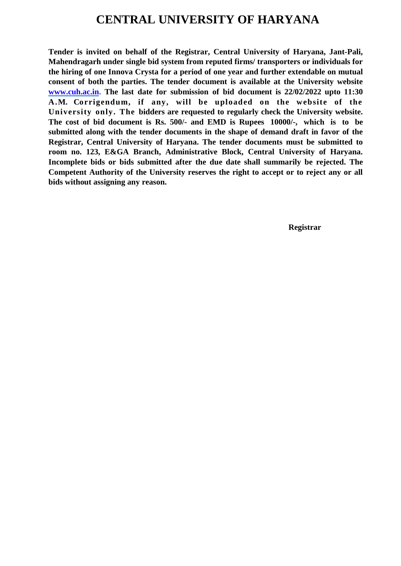### **CENTRAL UNIVERSITY OF HARYANA**

**Tender is invited on behalf of the Registrar, Central University of Haryana, Jant-Pali, Mahendragarh under single bid system from reputed firms/ transporters or individuals for the hiring of one Innova Crysta for a period of one year and further extendable on mutual consent of both the parties. The tender document is available at the University website [www.cuh.ac.in.](http://www.cuh.ac.in/) The last date for submission of bid document is 22/02/2022 upto 11:30 A.M. Corrigendum, if any, will be uploaded on the website of the University only. The bidders are requested to regularly check the University website. The cost of bid document is Rs. 500/- and EMD is Rupees 10000/-, which is to be submitted along with the tender documents in the shape of demand draft in favor of the Registrar, Central University of Haryana. The tender documents must be submitted to room no. 123, E&GA Branch, Administrative Block, Central University of Haryana. Incomplete bids or bids submitted after the due date shall summarily be rejected. The Competent Authority of the University reserves the right to accept or to reject any or all bids without assigning any reason.**

**Registrar**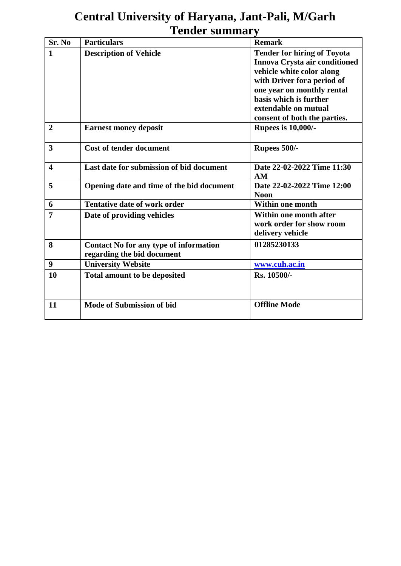## **Central University of Haryana, Jant-Pali, M/Garh Tender summary**

| Sr. No                  | <b>Particulars</b>                            | <b>Remark</b>                      |  |  |
|-------------------------|-----------------------------------------------|------------------------------------|--|--|
| 1                       | <b>Description of Vehicle</b>                 | <b>Tender for hiring of Toyota</b> |  |  |
|                         |                                               | Innova Crysta air conditioned      |  |  |
|                         |                                               | vehicle white color along          |  |  |
|                         |                                               | with Driver for a period of        |  |  |
|                         |                                               | one year on monthly rental         |  |  |
|                         |                                               | basis which is further             |  |  |
|                         |                                               | extendable on mutual               |  |  |
|                         |                                               | consent of both the parties.       |  |  |
| $\overline{2}$          | <b>Earnest money deposit</b>                  | <b>Rupees is 10,000/-</b>          |  |  |
|                         |                                               |                                    |  |  |
| 3                       | <b>Cost of tender document</b>                | Rupees 500/-                       |  |  |
|                         |                                               |                                    |  |  |
| $\overline{\mathbf{4}}$ | Last date for submission of bid document      | Date 22-02-2022 Time 11:30         |  |  |
|                         |                                               | AM                                 |  |  |
| 5                       | Opening date and time of the bid document     | Date 22-02-2022 Time 12:00         |  |  |
|                         |                                               | <b>Noon</b>                        |  |  |
| 6                       | <b>Tentative date of work order</b>           | <b>Within one month</b>            |  |  |
| 7                       | Date of providing vehicles                    | Within one month after             |  |  |
|                         |                                               | work order for show room           |  |  |
|                         |                                               | delivery vehicle                   |  |  |
| 8                       | <b>Contact No for any type of information</b> | 01285230133                        |  |  |
|                         | regarding the bid document                    |                                    |  |  |
| 9                       | <b>University Website</b>                     | www.cuh.ac.in                      |  |  |
| 10                      | <b>Total amount to be deposited</b>           | Rs. 10500/-                        |  |  |
|                         |                                               |                                    |  |  |
|                         |                                               |                                    |  |  |
| 11                      | <b>Mode of Submission of bid</b>              | <b>Offline Mode</b>                |  |  |
|                         |                                               |                                    |  |  |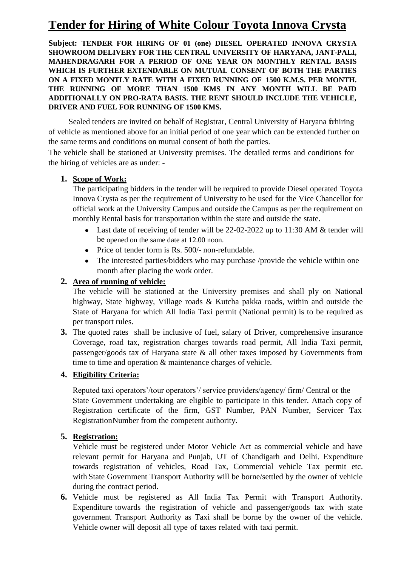## **Tender for Hiring of White Colour Toyota Innova Crysta**

**Subject: TENDER FOR HIRING OF 01 (one) DIESEL OPERATED INNOVA CRYSTA SHOWROOM DELIVERY FOR THE CENTRAL UNIVERSITY OF HARYANA, JANT-PALI, MAHENDRAGARH FOR A PERIOD OF ONE YEAR ON MONTHLY RENTAL BASIS WHICH IS FURTHER EXTENDABLE ON MUTUAL CONSENT OF BOTH THE PARTIES ON A FIXED MONTLY RATE WITH A FIXED RUNNING OF 1500 K.M.S. PER MONTH. THE RUNNING OF MORE THAN 1500 KMS IN ANY MONTH WILL BE PAID ADDITIONALLY ON PRO-RATA BASIS. THE RENT SHOULD INCLUDE THE VEHICLE, DRIVER AND FUEL FOR RUNNING OF 1500 KMS.**

Sealed tenders are invited on behalf of Registrar, Central University of Haryana for hiring of vehicle as mentioned above for an initial period of one year which can be extended further on the same terms and conditions on mutual consent of both the parties.

The vehicle shall be stationed at University premises. The detailed terms and conditions for the hiring of vehicles are as under: -

#### **1. Scope of Work:**

The participating bidders in the tender will be required to provide Diesel operated Toyota Innova Crysta as per the requirement of University to be used for the Vice Chancellor for official work at the University Campus and outside the Campus as per the requirement on monthly Rental basis for transportation within the state and outside the state.

- Last date of receiving of tender will be 22-02-2022 up to 11:30 AM & tender will be opened on the same date at 12.00 noon.
- Price of tender form is Rs. 500/- non-refundable.
- The interested parties/bidders who may purchase /provide the vehicle within one month after placing the work order.

#### **2. Area of running of vehicle:**

The vehicle will be stationed at the University premises and shall ply on National highway, State highway, Village roads & Kutcha pakka roads, within and outside the State of Haryana for which All India Taxi permit (National permit) is to be required as per transport rules.

**3.** The quoted rates shall be inclusive of fuel, salary of Driver, comprehensive insurance Coverage, road tax, registration charges towards road permit, All India Taxi permit, passenger/goods tax of Haryana state & all other taxes imposed by Governments from time to time and operation & maintenance charges of vehicle.

#### **4. Eligibility Criteria:**

Reputed taxi operators'/tour operators'/ service providers/agency/ firm/ Central or the State Government undertaking are eligible to participate in this tender. Attach copy of Registration certificate of the firm, GST Number, PAN Number, Servicer Tax RegistrationNumber from the competent authority.

#### **5. Registration:**

Vehicle must be registered under Motor Vehicle Act as commercial vehicle and have relevant permit for Haryana and Punjab, UT of Chandigarh and Delhi. Expenditure towards registration of vehicles, Road Tax, Commercial vehicle Tax permit etc. with State Government Transport Authority will be borne/settled by the owner of vehicle during the contract period.

**6.** Vehicle must be registered as All India Tax Permit with Transport Authority. Expenditure towards the registration of vehicle and passenger/goods tax with state government Transport Authority as Taxi shall be borne by the owner of the vehicle. Vehicle owner will deposit all type of taxes related with taxi permit.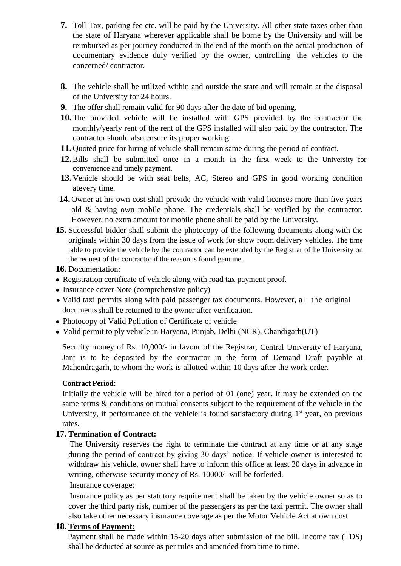- **7.** Toll Tax, parking fee etc. will be paid by the University. All other state taxes other than the state of Haryana wherever applicable shall be borne by the University and will be reimbursed as per journey conducted in the end of the month on the actual production of documentary evidence duly verified by the owner, controlling the vehicles to the concerned/ contractor.
- **8.** The vehicle shall be utilized within and outside the state and will remain at the disposal of the University for 24 hours.
- **9.** The offer shall remain valid for 90 days after the date of bid opening.
- **10.**The provided vehicle will be installed with GPS provided by the contractor the monthly/yearly rent of the rent of the GPS installed will also paid by the contractor. The contractor should also ensure its proper working.
- **11.** Quoted price for hiring of vehicle shall remain same during the period of contract.
- **12.**Bills shall be submitted once in a month in the first week to the University for convenience and timely payment.
- **13.** Vehicle should be with seat belts, AC, Stereo and GPS in good working condition atevery time.
- **14.** Owner at his own cost shall provide the vehicle with valid licenses more than five years old & having own mobile phone. The credentials shall be verified by the contractor. However, no extra amount for mobile phone shall be paid by the University.
- **15.** Successful bidder shall submit the photocopy of the following documents along with the originals within 30 days from the issue of work for show room delivery vehicles. The time table to provide the vehicle by the contractor can be extended by the Registrar ofthe University on the request of the contractor if the reason is found genuine.

**16.** Documentation:

- Registration certificate of vehicle along with road tax payment proof.
- Insurance cover Note (comprehensive policy)
- Valid taxi permits along with paid passenger tax documents. However, all the original documents shall be returned to the owner after verification.
- Photocopy of Valid Pollution of Certificate of vehicle
- Valid permit to ply vehicle in Haryana, Punjab, Delhi (NCR), Chandigarh(UT)

Security money of Rs. 10,000/- in favour of the Registrar, Central University of Haryana, Jant is to be deposited by the contractor in the form of Demand Draft payable at Mahendragarh, to whom the work is allotted within 10 days after the work order.

#### **Contract Period:**

Initially the vehicle will be hired for a period of 01 (one) year. It may be extended on the same terms & conditions on mutual consents subject to the requirement of the vehicle in the University, if performance of the vehicle is found satisfactory during  $1<sup>st</sup>$  year, on previous rates.

#### **17. Termination of Contract:**

 The University reserves the right to terminate the contract at any time or at any stage during the period of contract by giving 30 days' notice. If vehicle owner is interested to withdraw his vehicle, owner shall have to inform this office at least 30 days in advance in writing, otherwise security money of Rs. 10000/- will be forfeited.

#### Insurance coverage:

 Insurance policy as per statutory requirement shall be taken by the vehicle owner so as to cover the third party risk, number of the passengers as per the taxi permit. The owner shall also take other necessary insurance coverage as per the Motor Vehicle Act at own cost.

#### **18. Terms of Payment:**

 Payment shall be made within 15-20 days after submission of the bill. Income tax (TDS) shall be deducted at source as per rules and amended from time to time.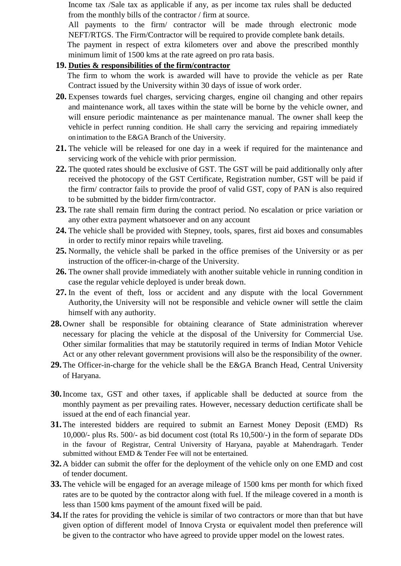Income tax /Sale tax as applicable if any, as per income tax rules shall be deducted from the monthly bills of the contractor / firm at source.

All payments to the firm/ contractor will be made through electronic mode NEFT/RTGS. The Firm/Contractor will be required to provide complete bank details.

The payment in respect of extra kilometers over and above the prescribed monthly minimum limit of 1500 kms at the rate agreed on pro rata basis.

#### **19. Duties & responsibilities of the firm/contractor**

The firm to whom the work is awarded will have to provide the vehicle as per Rate Contract issued by the University within 30 days of issue of work order.

- **20.** Expenses towards fuel charges, servicing charges, engine oil changing and other repairs and maintenance work, all taxes within the state will be borne by the vehicle owner, and will ensure periodic maintenance as per maintenance manual. The owner shall keep the vehicle in perfect running condition. He shall carry the servicing and repairing immediately on intimation to the E&GA Branch of the University.
- **21.** The vehicle will be released for one day in a week if required for the maintenance and servicing work of the vehicle with prior permission.
- **22.** The quoted rates should be exclusive of GST. The GST will be paid additionally only after received the photocopy of the GST Certificate, Registration number, GST will be paid if the firm/ contractor fails to provide the proof of valid GST, copy of PAN is also required to be submitted by the bidder firm/contractor.
- **23.** The rate shall remain firm during the contract period. No escalation or price variation or any other extra payment whatsoever and on any account
- **24.** The vehicle shall be provided with Stepney, tools, spares, first aid boxes and consumables in order to rectify minor repairs while traveling.
- **25.** Normally, the vehicle shall be parked in the office premises of the University or as per instruction of the officer-in-charge of the University.
- **26.** The owner shall provide immediately with another suitable vehicle in running condition in case the regular vehicle deployed is under break down.
- **27.** In the event of theft, loss or accident and any dispute with the local Government Authority, the University will not be responsible and vehicle owner will settle the claim himself with any authority.
- **28.** Owner shall be responsible for obtaining clearance of State administration wherever necessary for placing the vehicle at the disposal of the University for Commercial Use. Other similar formalities that may be statutorily required in terms of Indian Motor Vehicle Act or any other relevant government provisions will also be the responsibility of the owner.
- **29.**The Officer-in-charge for the vehicle shall be the E&GA Branch Head, Central University of Haryana.
- **30.**Income tax, GST and other taxes, if applicable shall be deducted at source from the monthly payment as per prevailing rates. However, necessary deduction certificate shall be issued at the end of each financial year.
- **31.**The interested bidders are required to submit an Earnest Money Deposit (EMD) Rs 10,000/- plus Rs. 500/- as bid document cost (total Rs 10,500/-) in the form of separate DDs in the favour of Registrar, Central University of Haryana, payable at Mahendragarh. Tender submitted without EMD & Tender Fee will not be entertained.
- **32.** A bidder can submit the offer for the deployment of the vehicle only on one EMD and cost of tender document.
- **33.**The vehicle will be engaged for an average mileage of 1500 kms per month for which fixed rates are to be quoted by the contractor along with fuel. If the mileage covered in a month is less than 1500 kms payment of the amount fixed will be paid.
- **34.**If the rates for providing the vehicle is similar of two contractors or more than that but have given option of different model of Innova Crysta or equivalent model then preference will be given to the contractor who have agreed to provide upper model on the lowest rates.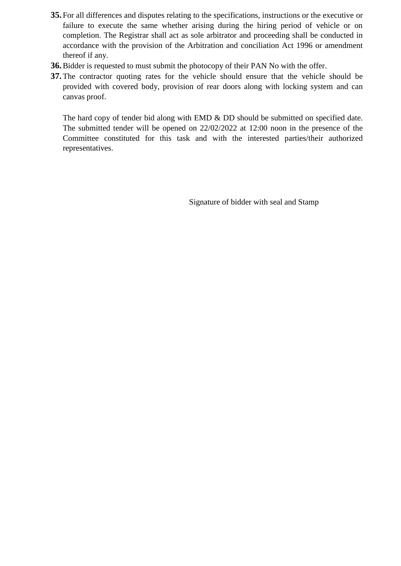- **35.** For all differences and disputes relating to the specifications, instructions or the executive or failure to execute the same whether arising during the hiring period of vehicle or on completion. The Registrar shall act as sole arbitrator and proceeding shall be conducted in accordance with the provision of the Arbitration and conciliation Act 1996 or amendment thereof if any.
- **36.**Bidder is requested to must submit the photocopy of their PAN No with the offer.
- **37.**The contractor quoting rates for the vehicle should ensure that the vehicle should be provided with covered body, provision of rear doors along with locking system and can canvas proof.

The hard copy of tender bid along with EMD & DD should be submitted on specified date. The submitted tender will be opened on 22/02/2022 at 12:00 noon in the presence of the Committee constituted for this task and with the interested parties/their authorized representatives.

Signature of bidder with seal and Stamp